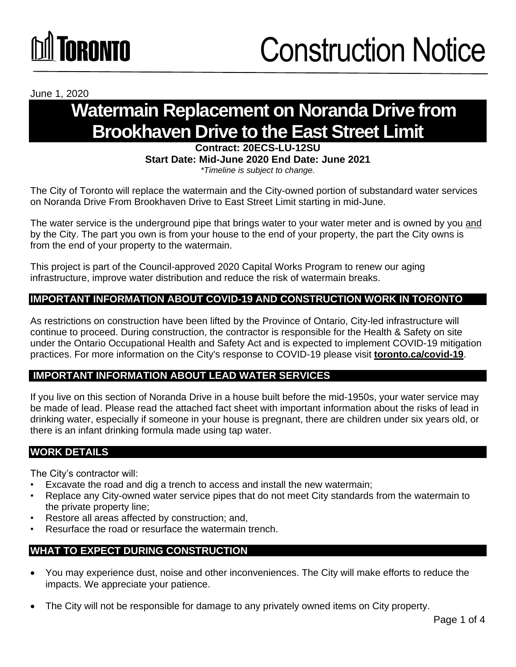# **NANA DE ANGELA ANGELIA PERSONA PERSONA PERSONA PERSONA PERSONA PERSONA PERSONA PERSONA PERSONA PER**

June 1, 2020

### **Watermain Replacement on Noranda Drive from Brookhaven Drive to the East Street Limit**

#### **Contract: 20ECS-LU-12SU Start Date: Mid-June 2020 End Date: June 2021**  *\*Timeline is subject to change.*

The City of Toronto will replace the watermain and the City-owned portion of substandard water services on Noranda Drive From Brookhaven Drive to East Street Limit starting in mid-June.

The water service is the underground pipe that brings water to your water meter and is owned by you and by the City. The part you own is from your house to the end of your property, the part the City owns is from the end of your property to the watermain.

This project is part of the Council-approved 2020 Capital Works Program to renew our aging infrastructure, improve water distribution and reduce the risk of watermain breaks.

### **IMPORTANT INFORMATION ABOUT COVID-19 AND CONSTRUCTION WORK IN TORONTO**

As restrictions on construction have been lifted by the Province of Ontario, City-led infrastructure will continue to proceed. During construction, the contractor is responsible for the Health & Safety on site under the Ontario Occupational Health and Safety Act and is expected to implement COVID-19 mitigation practices. For more information on the City's response to COVID-19 please visit **[toronto.ca/covid-19](http://www.toronto.ca/covid-19)**.

### **IMPORTANT INFORMATION ABOUT LEAD WATER SERVICES**

If you live on this section of Noranda Drive in a house built before the mid-1950s, your water service may be made of lead. Please read the attached fact sheet with important information about the risks of lead in drinking water, especially if someone in your house is pregnant, there are children under six years old, or there is an infant drinking formula made using tap water.

#### **WORK DETAILS**

The City's contractor will:

- Excavate the road and dig a trench to access and install the new watermain;
- Replace any City-owned water service pipes that do not meet City standards from the watermain to the private property line;
- Restore all areas affected by construction; and,
- Resurface the road or resurface the watermain trench.

#### **WHAT TO EXPECT DURING CONSTRUCTION**

- You may experience dust, noise and other inconveniences. The City will make efforts to reduce the impacts. We appreciate your patience.
- The City will not be responsible for damage to any privately owned items on City property.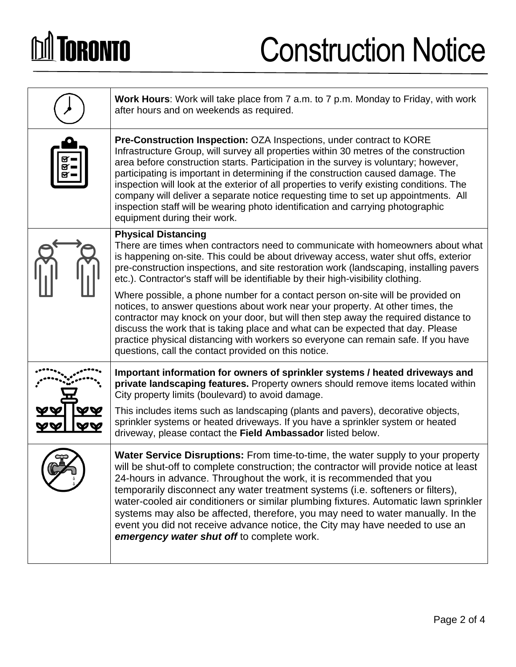# **DA TORONTO**

## Construction Notice

|  | <b>Work Hours:</b> Work will take place from 7 a.m. to 7 p.m. Monday to Friday, with work<br>after hours and on weekends as required.                                                                                                                                                                                                                                                                                                                                                                                                                                                                                                                 |
|--|-------------------------------------------------------------------------------------------------------------------------------------------------------------------------------------------------------------------------------------------------------------------------------------------------------------------------------------------------------------------------------------------------------------------------------------------------------------------------------------------------------------------------------------------------------------------------------------------------------------------------------------------------------|
|  | <b>Pre-Construction Inspection: OZA Inspections, under contract to KORE</b><br>Infrastructure Group, will survey all properties within 30 metres of the construction<br>area before construction starts. Participation in the survey is voluntary; however,<br>participating is important in determining if the construction caused damage. The<br>inspection will look at the exterior of all properties to verify existing conditions. The<br>company will deliver a separate notice requesting time to set up appointments. All<br>inspection staff will be wearing photo identification and carrying photographic<br>equipment during their work. |
|  | <b>Physical Distancing</b><br>There are times when contractors need to communicate with homeowners about what<br>is happening on-site. This could be about driveway access, water shut offs, exterior<br>pre-construction inspections, and site restoration work (landscaping, installing pavers<br>etc.). Contractor's staff will be identifiable by their high-visibility clothing.                                                                                                                                                                                                                                                                 |
|  | Where possible, a phone number for a contact person on-site will be provided on<br>notices, to answer questions about work near your property. At other times, the<br>contractor may knock on your door, but will then step away the required distance to<br>discuss the work that is taking place and what can be expected that day. Please<br>practice physical distancing with workers so everyone can remain safe. If you have<br>questions, call the contact provided on this notice.                                                                                                                                                            |
|  | Important information for owners of sprinkler systems / heated driveways and<br>private landscaping features. Property owners should remove items located within<br>City property limits (boulevard) to avoid damage.                                                                                                                                                                                                                                                                                                                                                                                                                                 |
|  | This includes items such as landscaping (plants and pavers), decorative objects,<br>sprinkler systems or heated driveways. If you have a sprinkler system or heated<br>driveway, please contact the Field Ambassador listed below.                                                                                                                                                                                                                                                                                                                                                                                                                    |
|  | <b>Water Service Disruptions:</b> From time-to-time, the water supply to your property<br>will be shut-off to complete construction; the contractor will provide notice at least<br>24-hours in advance. Throughout the work, it is recommended that you<br>temporarily disconnect any water treatment systems (i.e. softeners or filters),<br>water-cooled air conditioners or similar plumbing fixtures. Automatic lawn sprinkler<br>systems may also be affected, therefore, you may need to water manually. In the<br>event you did not receive advance notice, the City may have needed to use an<br>emergency water shut off to complete work.  |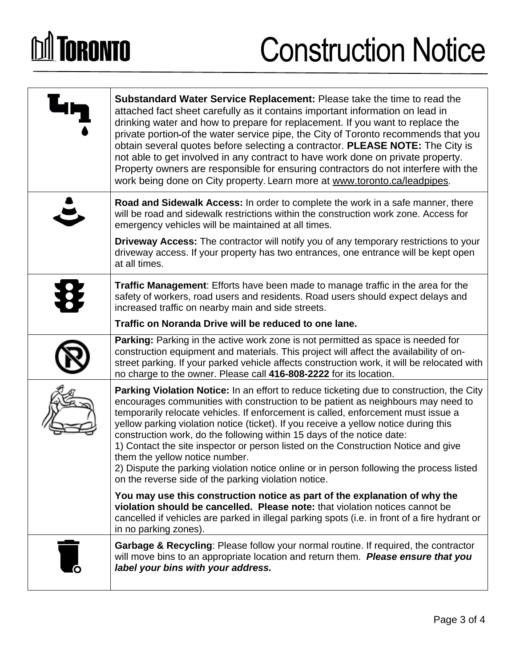# **DA TORONTO**

### Construction Notice

| Substandard Water Service Replacement: Please take the time to read the<br>attached fact sheet carefully as it contains important information on lead in<br>drinking water and how to prepare for replacement. If you want to replace the<br>private portion-of the water service pipe, the City of Toronto recommends that you<br>obtain several quotes before selecting a contractor. PLEASE NOTE: The City is<br>not able to get involved in any contract to have work done on private property.<br>Property owners are responsible for ensuring contractors do not interfere with the<br>work being done on City property. Learn more at www.toronto.ca/leadpipes.                                                 |
|------------------------------------------------------------------------------------------------------------------------------------------------------------------------------------------------------------------------------------------------------------------------------------------------------------------------------------------------------------------------------------------------------------------------------------------------------------------------------------------------------------------------------------------------------------------------------------------------------------------------------------------------------------------------------------------------------------------------|
| Road and Sidewalk Access: In order to complete the work in a safe manner, there<br>will be road and sidewalk restrictions within the construction work zone. Access for<br>emergency vehicles will be maintained at all times.                                                                                                                                                                                                                                                                                                                                                                                                                                                                                         |
| Driveway Access: The contractor will notify you of any temporary restrictions to your<br>driveway access. If your property has two entrances, one entrance will be kept open<br>at all times.                                                                                                                                                                                                                                                                                                                                                                                                                                                                                                                          |
| Traffic Management: Efforts have been made to manage traffic in the area for the<br>safety of workers, road users and residents. Road users should expect delays and<br>increased traffic on nearby main and side streets.                                                                                                                                                                                                                                                                                                                                                                                                                                                                                             |
| Traffic on Noranda Drive will be reduced to one lane.                                                                                                                                                                                                                                                                                                                                                                                                                                                                                                                                                                                                                                                                  |
| Parking: Parking in the active work zone is not permitted as space is needed for<br>construction equipment and materials. This project will affect the availability of on-<br>street parking. If your parked vehicle affects construction work, it will be relocated with<br>no charge to the owner. Please call 416-808-2222 for its location.                                                                                                                                                                                                                                                                                                                                                                        |
| <b>Parking Violation Notice:</b> In an effort to reduce ticketing due to construction, the City<br>encourages communities with construction to be patient as neighbours may need to<br>temporarily relocate vehicles. If enforcement is called, enforcement must issue a<br>yellow parking violation notice (ticket). If you receive a yellow notice during this<br>construction work, do the following within 15 days of the notice date:<br>1) Contact the site inspector or person listed on the Construction Notice and give<br>them the yellow notice number.<br>2) Dispute the parking violation notice online or in person following the process listed<br>on the reverse side of the parking violation notice. |
| You may use this construction notice as part of the explanation of why the<br>violation should be cancelled. Please note: that violation notices cannot be<br>cancelled if vehicles are parked in illegal parking spots (i.e. in front of a fire hydrant or<br>in no parking zones).                                                                                                                                                                                                                                                                                                                                                                                                                                   |
| Garbage & Recycling: Please follow your normal routine. If required, the contractor<br>will move bins to an appropriate location and return them. Please ensure that you<br>label your bins with your address.                                                                                                                                                                                                                                                                                                                                                                                                                                                                                                         |